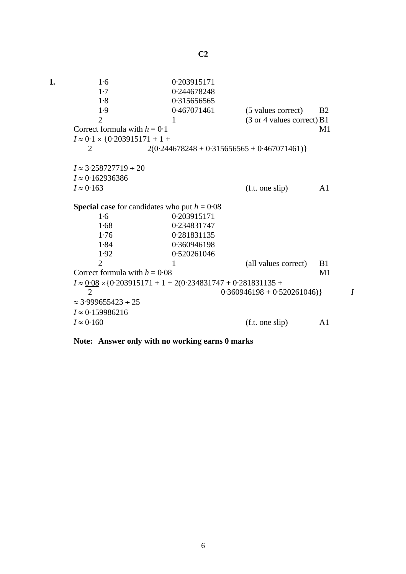**1.** 1·6 0·203915171 1·7 0·244678248 1·8 0·315656565 1·9 0·467071461 (5 values correct) B2 2 1 (3 or 4 values correct) B1 Correct formula with  $h = 0.1$  M1  $I \approx 0.1 \times \{0.203915171 + 1 +$ 2  $2(0.244678248 + 0.315656565 + 0.467071461)$  $I \approx 3.258727719 \div 20$ *I* ≈ 0·162936386  $I \approx 0.163$  (f.t. one slip) A1 **Special case** for candidates who put  $h = 0.08$ 1·6 0·203915171 1·68 0·234831747 1·76 0·281831135 1·84 0·360946198 1·92 0·520261046 2 1 (all values correct) B1 Correct formula with  $h = 0.08$  M1  $I \approx 0.08 \times \{0.203915171 + 1 + 2(0.234831747 + 0.281831135 +$  2 0·360946198 + 0·520261046)} *I*  $\approx$  3.999655423 ÷ 25 *I* ≈ 0·159986216  $I \approx 0.160$  (f.t. one slip) A1

**Note: Answer only with no working earns 0 marks**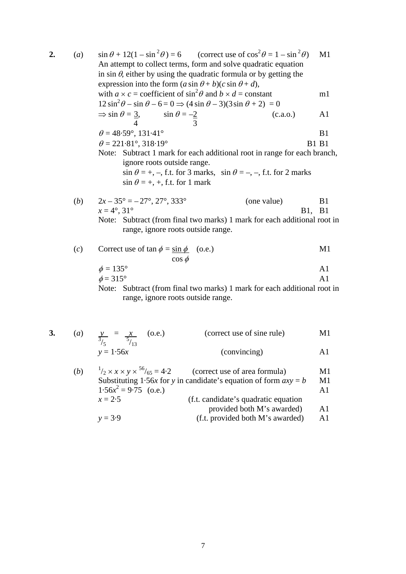| 2. | (a)          | $\sin \theta + 12(1 - \sin^2 \theta) = 6$ (correct use of $\cos^2 \theta = 1 - \sin^2 \theta$ )<br>An attempt to collect terms, form and solve quadratic equation<br>in sin $\theta$ , either by using the quadratic formula or by getting the<br>expression into the form $(a \sin \theta + b)(c \sin \theta + d)$ , |                                         |  |  |
|----|--------------|-----------------------------------------------------------------------------------------------------------------------------------------------------------------------------------------------------------------------------------------------------------------------------------------------------------------------|-----------------------------------------|--|--|
|    |              | with $a \times c$ = coefficient of $\sin^2 \theta$ and $b \times d$ = constant                                                                                                                                                                                                                                        | m1                                      |  |  |
|    |              | $12\sin^2\theta - \sin\theta - 6 = 0 \Rightarrow (4\sin\theta - 3)(3\sin\theta + 2) = 0$<br>$\Rightarrow$ sin $\theta = \frac{3}{4}$ , sin $\theta = -\frac{2}{3}$<br>(c.a.o.)<br>$\overline{4}$                                                                                                                      | A <sub>1</sub>                          |  |  |
|    |              | $\theta = 48.59^{\circ}, 131.41^{\circ}$                                                                                                                                                                                                                                                                              | B1                                      |  |  |
|    |              | $\theta = 221.81^{\circ}, 318.19^{\circ}$                                                                                                                                                                                                                                                                             | <b>B1 B1</b>                            |  |  |
|    |              | Note: Subtract 1 mark for each additional root in range for each branch,<br>ignore roots outside range.<br>$\sin \theta = +, -,$ f.t. for 3 marks, $\sin \theta = -, -,$ f.t. for 2 marks<br>$\sin \theta = +, +,$ f.t. for 1 mark                                                                                    |                                         |  |  |
|    | ( <i>b</i> ) | $2x - 35^{\circ} = -27^{\circ}, 27^{\circ}, 333^{\circ}$<br>(one value)<br>$x = 4^{\circ}, 31^{\circ}$                                                                                                                                                                                                                | B <sub>1</sub><br><b>B1</b> , <b>B1</b> |  |  |
|    |              | Note: Subtract (from final two marks) 1 mark for each additional root in<br>range, ignore roots outside range.                                                                                                                                                                                                        |                                         |  |  |
|    | (c)          | Correct use of $\tan \phi = \sin \phi$ (o.e.)<br>$\cos \phi$                                                                                                                                                                                                                                                          | M1                                      |  |  |
|    |              | $\phi = 135^\circ$                                                                                                                                                                                                                                                                                                    | A <sub>1</sub>                          |  |  |
|    |              | $\phi = 315^\circ$                                                                                                                                                                                                                                                                                                    | A <sub>1</sub>                          |  |  |
|    |              | Note: Subtract (from final two marks) 1 mark for each additional root in                                                                                                                                                                                                                                              |                                         |  |  |

range, ignore roots outside range.

| 3. | $\left( a\right)$ | $y = x (0.8)$ | (correct use of sine rule) | M1 |
|----|-------------------|---------------|----------------------------|----|
|    |                   | $y = 1.56x$   | (convincing)               |    |

| (b) | $^{1}/_{2} \times x \times y \times ^{56}/_{65} = 4.2$ | (correct use of area formula)                                      | M1             |
|-----|--------------------------------------------------------|--------------------------------------------------------------------|----------------|
|     |                                                        | Substituting 1.56x for y in candidate's equation of form $axy = b$ | M1             |
|     | $1.56x^2 = 9.75$ (o.e.)                                |                                                                    | A1             |
|     | $x = 2.5$                                              | (f.t. candidate's quadratic equation)                              |                |
|     |                                                        | provided both M's awarded)                                         | A1             |
|     | $y = 3.9$                                              | (f.t. provided both M's awarded)                                   | A <sub>1</sub> |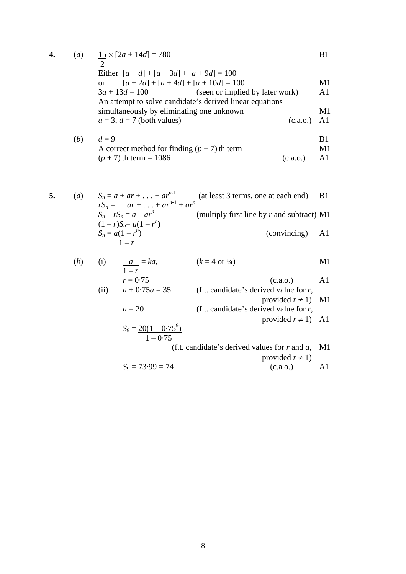| 4. |     | (a) $15 \times [2a + 14d] = 780$                         | B1             |
|----|-----|----------------------------------------------------------|----------------|
|    |     |                                                          |                |
|    |     | Either $[a+d] + [a+3d] + [a+9d] = 100$                   |                |
|    |     | $[a + 2d] + [a + 4d] + [a + 10d] = 100$<br>$\alpha$      | M1             |
|    |     | (seen or implied by later work)<br>$3a + 13d = 100$      | A <sub>1</sub> |
|    |     | An attempt to solve candidate's derived linear equations |                |
|    |     | simultaneously by eliminating one unknown                | M1             |
|    |     | $a = 3, d = 7$ (both values)<br>(c.a.o.)                 | A1             |
|    | (b) | $d=9$                                                    | B1             |
|    |     | A correct method for finding $(p + 7)$ th term           | M1             |

$$
(p + 7)
$$
 th term = 1086 (c.a.o.) A1

5. (a) 
$$
S_n = a + ar + \dots + ar^{n-1}
$$
 (at least 3 terms, one at each end) B1  
\n
$$
rS_n = ar + \dots + ar^{n-1} + ar^n
$$
  
\n
$$
S_n - rS_n = a - ar^n
$$
 (multiply first line by *r* and subtract) M1  
\n
$$
(1 - r)S_n = a(1 - r^n)
$$
  
\n
$$
S_n = \frac{a(1 - r^n)}{1 - r}
$$
 (convincing) A1

(b) (i) 
$$
\frac{a}{1-r} = ka
$$
,  $(k = 4 \text{ or } \frac{1}{4})$  M1  
\n $r = 0.75$  (c.a.o.) A1  
\n(ii)  $a + 0.75a = 35$  (f.t. candidate's derived value for r, provided  $r \neq 1$ ) M1

$$
a = 20
$$
 (f.t. candidate's derived value for r,  
provided  $r \ne 1$ ) A1  

$$
S_9 = \frac{20(1 - 0.75^9)}{1 - 0.75}
$$
 (f.t. candidate's derived values for r and a M1)

(f.t. candidate's derived values for *r* and *a*, M1 provided 
$$
r \neq 1
$$
)

$$
S_9 = 73.99 = 74
$$
 (c.a.o.) A1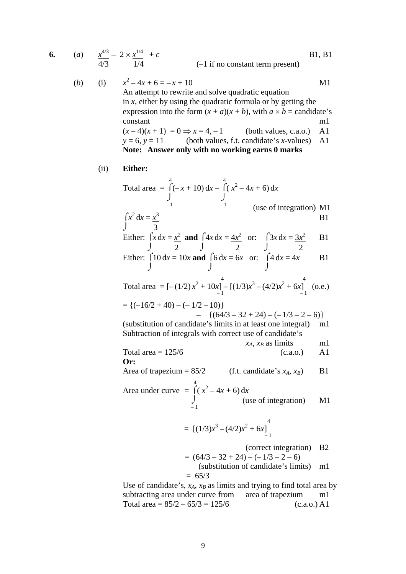| 6. | (a)          |      | $\frac{x^{4/3}}{4/3} - 2 \times \frac{x^{1/4}}{1/4} + c$                                                                                                                                                                                                                                                                                                                                                                    | <b>B1</b> , <b>B1</b> |
|----|--------------|------|-----------------------------------------------------------------------------------------------------------------------------------------------------------------------------------------------------------------------------------------------------------------------------------------------------------------------------------------------------------------------------------------------------------------------------|-----------------------|
|    |              |      | $(-1$ if no constant term present)                                                                                                                                                                                                                                                                                                                                                                                          |                       |
|    | ( <i>b</i> ) |      | (i) $x^2-4x+6=-x+10$<br>An attempt to rewrite and solve quadratic equation<br>in $x$ , either by using the quadratic formula or by getting the<br>expression into the form $(x + a)(x + b)$ , with $a \times b$ = candidate's<br>constant<br>$(x-4)(x+1) = 0 \Rightarrow x = 4, -1$ (both values, c.a.o.)<br>$y = 6$ , $y = 11$ (both values, f.t. candidate's x-values)<br>Note: Answer only with no working earns 0 marks | M1<br>m1<br>A1<br>A1  |
|    |              | (ii) | Either:                                                                                                                                                                                                                                                                                                                                                                                                                     |                       |
|    |              |      | Total area = $\int_{-1}^{4} (-x+10) dx - \int_{-1}^{4} (x^2-4x+6) dx$                                                                                                                                                                                                                                                                                                                                                       |                       |
|    |              |      | (use of integration) M1                                                                                                                                                                                                                                                                                                                                                                                                     |                       |
|    |              |      | $\int_1^2 x^2 dx = \frac{x^3}{3}$                                                                                                                                                                                                                                                                                                                                                                                           | B <sub>1</sub>        |
|    |              |      | Either: $\int x dx = \frac{x^2}{2}$ and $\int 4x dx = \frac{4x^2}{2}$ or: $\int 3x dx = \frac{3x^2}{2}$                                                                                                                                                                                                                                                                                                                     | B1                    |
|    |              |      | Either: $\int 10 dx = 10x$ and $\int 6 dx = 6x$ or: $\int 4 dx = 4x$                                                                                                                                                                                                                                                                                                                                                        | B1                    |
|    |              |      | Total area = $[-(1/2)x^2 + 10x]_1^4 - [(1/3)x^3 - (4/2)x^2 + 6x]_1^4$ (o.e.)                                                                                                                                                                                                                                                                                                                                                |                       |
|    |              |      | $= \{(-16/2 + 40) - (-1/2 - 10)\}$<br>$- \{ (64/3 - 32 + 24) - (-1/3 - 2 - 6) \}$                                                                                                                                                                                                                                                                                                                                           |                       |
|    |              |      | (substitution of candidate's limits in at least one integral)<br>Subtraction of integrals with correct use of candidate's                                                                                                                                                                                                                                                                                                   | m1                    |
|    |              |      | $x_A$ , $x_B$ as limits                                                                                                                                                                                                                                                                                                                                                                                                     | ml                    |
|    |              |      | Total area $= 125/6$<br>(c.a.0.)<br>Or:                                                                                                                                                                                                                                                                                                                                                                                     | A <sub>1</sub>        |
|    |              |      | Area of trapezium = $85/2$ (f.t. candidate's $x_A$ , $x_B$ )                                                                                                                                                                                                                                                                                                                                                                | B <sub>1</sub>        |
|    |              |      |                                                                                                                                                                                                                                                                                                                                                                                                                             |                       |
|    |              |      | Area under curve = $\int_{1}^{4} (x^2 - 4x + 6) dx$ (use of integration)                                                                                                                                                                                                                                                                                                                                                    | M <sub>1</sub>        |
|    |              |      | = $[(1/3)x^3 - (4/2)x^2 + 6x]_{-1}^{4}$                                                                                                                                                                                                                                                                                                                                                                                     |                       |
|    |              |      | (correct integration)<br>$= (64/3 - 32 + 24) - (-1/3 - 2 - 6)$                                                                                                                                                                                                                                                                                                                                                              | B <sub>2</sub>        |
|    |              |      | (substitution of candidate's limits)<br>$= 65/3$                                                                                                                                                                                                                                                                                                                                                                            | ml                    |
|    |              |      | Use of candidate's, $x_A$ , $x_B$ as limits and trying to find total area by                                                                                                                                                                                                                                                                                                                                                |                       |
|    |              |      | subtracting area under curve from area of trapezium                                                                                                                                                                                                                                                                                                                                                                         | ml                    |

Total area =  $85/2 - 65/3 = 125/6$  (c.a.o.) A1